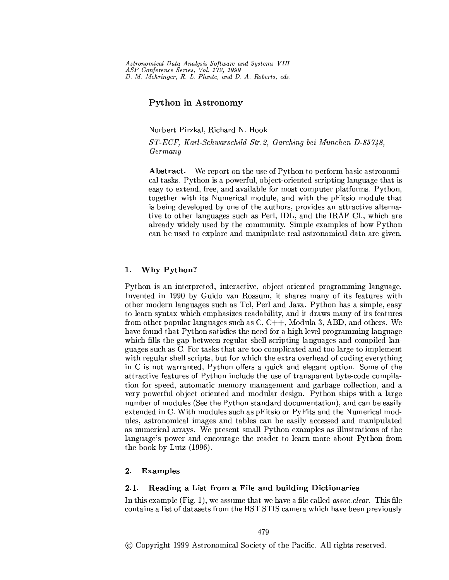Astronomical Data Analysis Software and Systems VIII ASP Conference Series, Vol. 172, 1999 D. M. Mehringer, R. L. Plante, and D. A. Roberts, eds.

# Python in Astronomy

Norbert Pirzkal, Richard N. Hook

ST-ECF, Karl-Schwarschild Str.2, Garching bei Munchen D-85748,  $Germany$ 

**Abstract.** We report on the use of Python to perform basic astronomical tasks. Python is a powerful, object-oriented scripting language that is easy to extend, free, and available for most computer platforms. Python, together with its Numerical module, and with the pFitsio module that is being developed by one of the authors, provides an attractive alternative to other languages such as Perl, IDL, and the IRAF CL, which are already widely used by the community. Simple examples of how Python can be used to explore and manipulate real astronomical data are given.

## Why Python? 1.

Python is an interpreted, interactive, object-oriented programming language. Invented in 1990 by Guido van Rossum, it shares many of its features with other modern languages such as Tcl, Perl and Java. Python has a simple, easy to learn syntax which emphasizes readability, and it draws many of its features from other popular languages such as  $C, C++,$  Modula-3, ABD, and others. We have found that Python satisfies the need for a high level programming language which fills the gap between regular shell scripting languages and compiled languages such as C. For tasks that are too complicated and too large to implement with regular shell scripts, but for which the extra overhead of coding everything in C is not warranted, Python offers a quick and elegant option. Some of the attractive features of Python include the use of transparent byte-code compilation for speed, automatic memory management and garbage collection, and a very powerful object oriented and modular design. Python ships with a large number of modules (See the Python standard documentation), and can be easily extended in C. With modules such as pFitsio or PyFits and the Numerical modules, astronomical images and tables can be easily accessed and manipulated as numerical arrays. We present small Python examples as illustrations of the language's power and encourage the reader to learn more about Python from the book by Lutz (1996).

#### $2.$ **Examples**

#### Reading a List from a File and building Dictionaries  $2.1.$

In this example (Fig. 1), we assume that we have a file called *assoc.clear*. This file contains a list of datasets from the HST STIS camera which have been previously

(c) Copyright 1999 Astronomical Society of the Pacific. All rights reserved.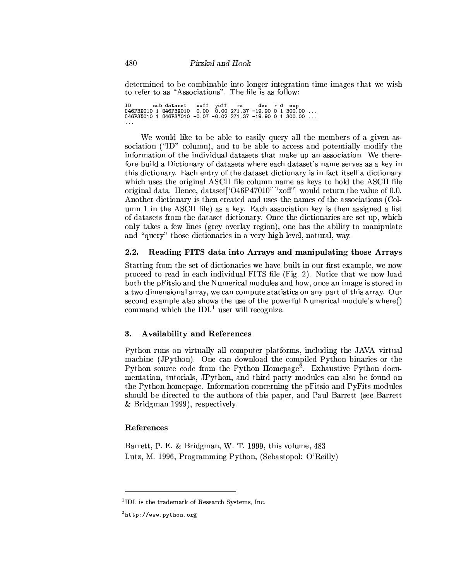determined to be combinable into longer integration time images that we wish to refer to as "Associations". The file is as follow:

```
ID subdataset xoff yoff ra decrd exp<br>046P3X010 1 046P3X010 0.00 0.00 271.37 -19.90 0 1 300.00 ...<br>046P3X010 1 046P3Y010 -0.07 -0.02 271.37 -19.90 0 1 300.00 ...
\ldots .
```
We would like to be able to easily query all the members of a given association ("ID" column), and to be able to access and potentially modify the information of the individual datasets that make up an association. We therefore build a Dictionary of datasets where each dataset's name serves as a key in this dictionary. Each entry of the dataset dictionary is in fact itself a dictionary which uses the original ASCII file column name as keys to hold the ASCII file original data. Hence, dataset['O46P47010'||'xoff'| would return the value of 0.0. Another dictionary is then created and uses the names of the associations (Column 1 in the ASCII file) as a key. Each association key is then assigned a list of datasets from the dataset dictionary. Once the dictionaries are set up, which only takes a few lines (grey overlay region), one has the ability to manipulate and "query" those dictionaries in a very high level, natural, way.

#### $2.2.$ Reading FITS data into Arrays and manipulating those Arrays

Starting from the set of dictionaries we have built in our first example, we now proceed to read in each individual FITS file (Fig. 2). Notice that we now load both the pFitsio and the Numerical modules and how, once an image is stored in a two dimensional array, we can compute statistics on any part of this array. Our second example also shows the use of the powerful Numerical module's where() command which the  $IDL<sup>1</sup>$  user will recognize.

### **Availability and References** 3.

Python runs on virtually all computer platforms, including the JAVA virtual machine (JPython). One can download the compiled Python binaries or the Python source code from the Python Homepage<sup>2</sup>. Exhaustive Python documentation, tutorials, JPython, and third party modules can also be found on the Python homepage. Information concerning the pFitsio and PyFits modules should be directed to the authors of this paper, and Paul Barrett (see Barrett & Bridgman 1999), respectively.

# References

Barrett, P. E. & Bridgman, W. T. 1999, this volume, 483 Lutz, M. 1996, Programming Python, (Sebastopol: O'Reilly)

<sup>&</sup>lt;sup>1</sup>IDL is the trademark of Research Systems, Inc.

 $2$ http://www.python.org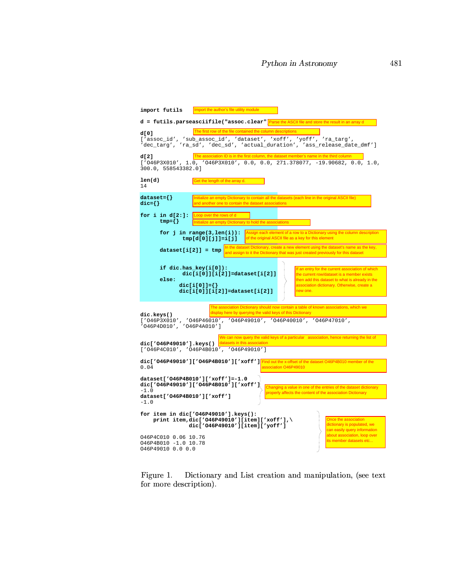| import futils<br>Import the author's file utility module                                                                                                                                                                                                                                                                                                     |
|--------------------------------------------------------------------------------------------------------------------------------------------------------------------------------------------------------------------------------------------------------------------------------------------------------------------------------------------------------------|
| $d =$ futils. parseasciifile ("assoc.clear" $P$ arse the ASCII file and store the result in an array d                                                                                                                                                                                                                                                       |
| The first row of the file contained the column descriptions<br>d[0]<br>['assoc_id', 'sub_assoc_id', 'dataset', 'xoff', 'yoff', 'ra_targ',<br>'dec_targ', 'ra_sd', 'dec_sd', 'actual_duration', 'ass_release_date_dmf']                                                                                                                                       |
| The association ID is in the first column, the dataset member's name in the third column<br>d[2]<br>$['046P3X010', 1.0, '046P3X010', 0.0, 0.0, 271.378077, -19.90682, 0.0, 1.0,$<br>300.0, 558543382.0]                                                                                                                                                      |
| len(d)<br>Get the length of the array d.<br>14                                                                                                                                                                                                                                                                                                               |
| $dataset = \{\}$<br>Initialize an empty Dictionary to contain all the datasets (each line in the original ASCII file)<br>$\texttt{dic}=\{\}$<br>and another one to contain the dataset associations                                                                                                                                                          |
| for i in $d[2:]:$ Loop over the rows of d<br>$tmp=\{\}$<br>Initialize an empty Dictionary to hold the associations                                                                                                                                                                                                                                           |
| Assign each element of a row to a Dictionary using the column description<br>for $j$ in range( $3$ , len( $i$ )):<br>of the original ASCII file as a key for this element<br>$tmp[d[0][j]]=i[j]$                                                                                                                                                             |
| In the dataset Dictionary, create a new element using the dataset's name as the key,<br>$dataset[i[2]] = tmp$<br>and assign to it the Dictionary that was just created previously for this dataset                                                                                                                                                           |
| if $dic.$ has_key $(i[0])$ :<br>If an entry for the current association of which<br>$dic[i[0]][i[2]] = dataset[i[2]]$<br>the current row/dataset is a member exists<br>else:<br>then add this dataset to what is already in the<br>association dictionary. Otherwise, create a<br>$\text{dic}[i[0]] = \{\}$<br>$dic[i[0]][i[2]] = dataset[i[2]]$<br>new one. |
| The association Dictionary should now contain a table of known associations, which we<br>display here by querying the valid keys of this Dictionary<br>dic.keys()<br>['046P3X010', '046P46010', '046P49010', '046P40010', '046P47010',<br>'046P4D010', '046P4A010']                                                                                          |
| We can now query the valid keys of a particular association, hence returning the list of<br>dic['046P49010'].keys() datasets in this association<br>$[ '046P4C010', '046P4B010', '046P49010']$                                                                                                                                                               |
| dic['046P49010']['046P4B010']['xoff'] <sup>[Find out the x-offset of the dataset O46P4B010 member of the</sup><br>0.04<br>association O46P49010                                                                                                                                                                                                              |
| dataset['046P4B010']['xoff']=-1.0<br>dic['046P49010']['046P4B010']['xoff']<br>Changing a value in one of the entries of the dataset dictionary<br>$-1.0$<br>properly affects the content of the association Dictionary<br>dataset['046P4B010']['xoff']<br>$-1.0$                                                                                             |
| for item in dic['046P49010'].keys():<br>Once the association<br>print item,dic['046P49010'][item]['xoff'],\<br>dictionary is populated, we<br>dic['046P49010'][item]['yoff']<br>can easily query information                                                                                                                                                 |
| about association, loop over<br>046P4C010 0.06 10.76<br>its member datasets etc<br>046P4B010 -1.0 10.78<br>046P49010 0.0 0.0                                                                                                                                                                                                                                 |

C,DFEHGJILK8ANM ODQPRLDQSHTUNILVWUXTY[Z\DQ]^RPILKUNRLDFSHT\_UXTY[`aUXTDFb2GcQUNRLDFSHTedgf']^KKhR^KiBR  $\mathbf{S}$  is the state of  $\mathbf{S}$  is the state of  $\mathbf{S}$